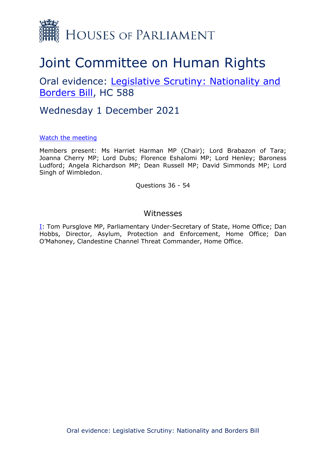

# Joint Committee on Human Rights

## Oral evidence: [Legislative](https://committees.parliament.uk/work/1415/legislative-scrutiny-nationality-and-borders-bill/) [Scrutiny:](https://committees.parliament.uk/work/1415/legislative-scrutiny-nationality-and-borders-bill/) [Nationality](https://committees.parliament.uk/work/1415/legislative-scrutiny-nationality-and-borders-bill/) [and](https://committees.parliament.uk/work/1415/legislative-scrutiny-nationality-and-borders-bill/) [Borders](https://committees.parliament.uk/work/1415/legislative-scrutiny-nationality-and-borders-bill/) [Bill,](https://committees.parliament.uk/work/1415/legislative-scrutiny-nationality-and-borders-bill/) HC 588

### Wednesday 1 December 2021

#### [Watch](https://www.parliamentlive.tv/Event/Index/f5ec5d1c-f519-4768-9c01-82ae70893fc9) [the](https://www.parliamentlive.tv/Event/Index/f5ec5d1c-f519-4768-9c01-82ae70893fc9) [meeting](https://www.parliamentlive.tv/Event/Index/f5ec5d1c-f519-4768-9c01-82ae70893fc9)

Members present: Ms Harriet Harman MP (Chair); Lord Brabazon of Tara; Joanna Cherry MP; Lord Dubs; Florence Eshalomi MP; Lord Henley; Baroness Ludford; Angela Richardson MP; Dean Russell MP; David Simmonds MP; Lord Singh of Wimbledon.

Questions 36 - 54

### Witnesses

[I:](#page-1-0) Tom Pursglove MP, Parliamentary Under-Secretary of State, Home Office; Dan Hobbs, Director, Asylum, Protection and Enforcement, Home Office; Dan O'Mahoney, Clandestine Channel Threat Commander, Home Office.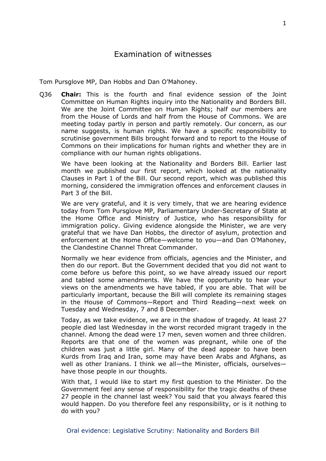<span id="page-1-0"></span>Tom Pursglove MP, Dan Hobbs and Dan O'Mahoney.

Q36 **Chair:** This is the fourth and final evidence session of the Joint Committee on Human Rights inquiry into the Nationality and Borders Bill. We are the Joint Committee on Human Rights; half our members are from the House of Lords and half from the House of Commons. We are meeting today partly in person and partly remotely. Our concern, as our name suggests, is human rights. We have a specific responsibility to scrutinise government Bills brought forward and to report to the House of Commons on their implications for human rights and whether they are in compliance with our human rights obligations.

We have been looking at the Nationality and Borders Bill. Earlier last month we published our first report, which looked at the nationality Clauses in Part 1 of the Bill. Our second report, which was published this morning, considered the immigration offences and enforcement clauses in Part 3 of the Bill.

We are very grateful, and it is very timely, that we are hearing evidence today from Tom Pursglove MP, Parliamentary Under-Secretary of State at the Home Office and Ministry of Justice, who has responsibility for immigration policy. Giving evidence alongside the Minister, we are very grateful that we have Dan Hobbs, the director of asylum, protection and enforcement at the Home Office—welcome to you—and Dan O'Mahoney, the Clandestine Channel Threat Commander.

Normally we hear evidence from officials, agencies and the Minister, and then do our report. But the Government decided that you did not want to come before us before this point, so we have already issued our report and tabled some amendments. We have the opportunity to hear your views on the amendments we have tabled, if you are able. That will be particularly important, because the Bill will complete its remaining stages in the House of Commons—Report and Third Reading—next week on Tuesday and Wednesday, 7 and 8 December.

Today, as we take evidence, we are in the shadow of tragedy. At least 27 people died last Wednesday in the worst recorded migrant tragedy in the channel. Among the dead were 17 men, seven women and three children. Reports are that one of the women was pregnant, while one of the children was just a little girl. Many of the dead appear to have been Kurds from Iraq and Iran, some may have been Arabs and Afghans, as well as other Iranians. I think we all—the Minister, officials, ourselves have those people in our thoughts.

With that, I would like to start my first question to the Minister. Do the Government feel any sense of responsibility for the tragic deaths of these 27 people in the channel last week? You said that you always feared this would happen. Do you therefore feel any responsibility, or is it nothing to do with you?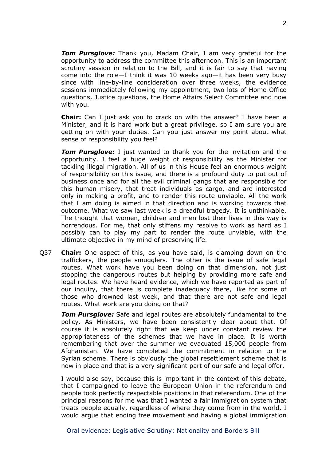*Tom Pursglove:* Thank you, Madam Chair, I am very grateful for the opportunity to address the committee this afternoon. This is an important scrutiny session in relation to the Bill, and it is fair to say that having come into the role—I think it was 10 weeks ago—it has been very busy since with line-by-line consideration over three weeks, the evidence sessions immediately following my appointment, two lots of Home Office questions, Justice questions, the Home Affairs Select Committee and now with you.

**Chair:** Can I just ask you to crack on with the answer? I have been a Minister, and it is hard work but a great privilege, so I am sure you are getting on with your duties. Can you just answer my point about what sense of responsibility you feel?

*Tom Pursglove:* I just wanted to thank you for the invitation and the opportunity. I feel a huge weight of responsibility as the Minister for tackling illegal migration. All of us in this House feel an enormous weight of responsibility on this issue, and there is a profound duty to put out of business once and for all the evil criminal gangs that are responsible for this human misery, that treat individuals as cargo, and are interested only in making a profit, and to render this route unviable. All the work that I am doing is aimed in that direction and is working towards that outcome. What we saw last week is a dreadful tragedy. It is unthinkable. The thought that women, children and men lost their lives in this way is horrendous. For me, that only stiffens my resolve to work as hard as I possibly can to play my part to render the route unviable, with the ultimate objective in my mind of preserving life.

Q37 **Chair:** One aspect of this, as you have said, is clamping down on the traffickers, the people smugglers. The other is the issue of safe legal routes. What work have you been doing on that dimension, not just stopping the dangerous routes but helping by providing more safe and legal routes. We have heard evidence, which we have reported as part of our inquiry, that there is complete inadequacy there, like for some of those who drowned last week, and that there are not safe and legal routes. What work are you doing on that?

*Tom Pursglove:* Safe and legal routes are absolutely fundamental to the policy. As Ministers, we have been consistently clear about that. Of course it is absolutely right that we keep under constant review the appropriateness of the schemes that we have in place. It is worth remembering that over the summer we evacuated 15,000 people from Afghanistan. We have completed the commitment in relation to the Syrian scheme. There is obviously the global resettlement scheme that is now in place and that is a very significant part of our safe and legal offer.

I would also say, because this is important in the context of this debate, that I campaigned to leave the European Union in the referendum and people took perfectly respectable positions in that referendum. One of the principal reasons for me was that I wanted a fair immigration system that treats people equally, regardless of where they come from in the world. I would argue that ending free movement and having a global immigration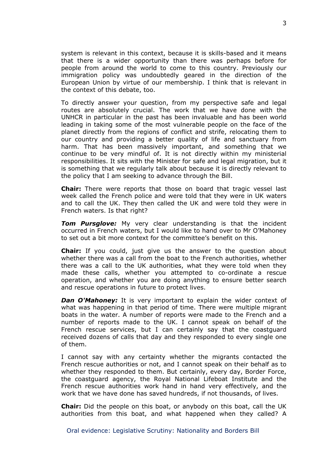system is relevant in this context, because it is skills-based and it means that there is a wider opportunity than there was perhaps before for people from around the world to come to this country. Previously our immigration policy was undoubtedly geared in the direction of the European Union by virtue of our membership. I think that is relevant in the context of this debate, too.

To directly answer your question, from my perspective safe and legal routes are absolutely crucial. The work that we have done with the UNHCR in particular in the past has been invaluable and has been world leading in taking some of the most vulnerable people on the face of the planet directly from the regions of conflict and strife, relocating them to our country and providing a better quality of life and sanctuary from harm. That has been massively important, and something that we continue to be very mindful of. It is not directly within my ministerial responsibilities. It sits with the Minister for safe and legal migration, but it is something that we regularly talk about because it is directly relevant to the policy that I am seeking to advance through the Bill.

**Chair:** There were reports that those on board that tragic vessel last week called the French police and were told that they were in UK waters and to call the UK. They then called the UK and were told they were in French waters. Is that right?

*Tom Pursglove:* My very clear understanding is that the incident occurred in French waters, but I would like to hand over to Mr O'Mahoney to set out a bit more context for the committee's benefit on this.

**Chair:** If you could, just give us the answer to the question about whether there was a call from the boat to the French authorities, whether there was a call to the UK authorities, what they were told when they made these calls, whether you attempted to co-ordinate a rescue operation, and whether you are doing anything to ensure better search and rescue operations in future to protect lives.

**Dan O'Mahoney:** It is very important to explain the wider context of what was happening in that period of time. There were multiple migrant boats in the water. A number of reports were made to the French and a number of reports made to the UK. I cannot speak on behalf of the French rescue services, but I can certainly say that the coastguard received dozens of calls that day and they responded to every single one of them.

I cannot say with any certainty whether the migrants contacted the French rescue authorities or not, and I cannot speak on their behalf as to whether they responded to them. But certainly, every day, Border Force, the coastguard agency, the Royal National Lifeboat Institute and the French rescue authorities work hand in hand very effectively, and the work that we have done has saved hundreds, if not thousands, of lives.

**Chair:** Did the people on this boat, or anybody on this boat, call the UK authorities from this boat, and what happened when they called? A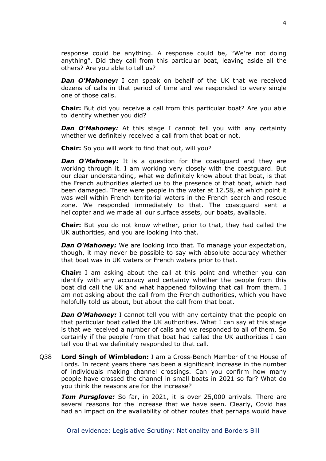response could be anything. A response could be, "We're not doing anything". Did they call from this particular boat, leaving aside all the others? Are you able to tell us?

**Dan O'Mahoney:** I can speak on behalf of the UK that we received dozens of calls in that period of time and we responded to every single one of those calls.

**Chair:** But did you receive a call from this particular boat? Are you able to identify whether you did?

**Dan O'Mahoney:** At this stage I cannot tell you with any certainty whether we definitely received a call from that boat or not.

**Chair:** So you will work to find that out, will you?

*Dan O'Mahoney:* It is a question for the coastguard and they are working through it. I am working very closely with the coastguard. But our clear understanding, what we definitely know about that boat, is that the French authorities alerted us to the presence of that boat, which had been damaged. There were people in the water at 12.58, at which point it was well within French territorial waters in the French search and rescue zone. We responded immediately to that. The coastguard sent a helicopter and we made all our surface assets, our boats, available.

**Chair:** But you do not know whether, prior to that, they had called the UK authorities, and you are looking into that.

*Dan O'Mahoney:* We are looking into that. To manage your expectation, though, it may never be possible to say with absolute accuracy whether that boat was in UK waters or French waters prior to that.

**Chair:** I am asking about the call at this point and whether you can identify with any accuracy and certainty whether the people from this boat did call the UK and what happened following that call from them. I am not asking about the call from the French authorities, which you have helpfully told us about, but about the call from that boat.

**Dan O'Mahoney:** I cannot tell you with any certainty that the people on that particular boat called the UK authorities. What I can say at this stage is that we received a number of calls and we responded to all of them. So certainly if the people from that boat had called the UK authorities I can tell you that we definitely responded to that call.

Q38 **Lord Singh of Wimbledon:** I am a Cross-Bench Member of the House of Lords. In recent years there has been a significant increase in the number of individuals making channel crossings. Can you confirm how many people have crossed the channel in small boats in 2021 so far? What do you think the reasons are for the increase?

*Tom Pursglove:* So far, in 2021, it is over 25,000 arrivals. There are several reasons for the increase that we have seen. Clearly, Covid has had an impact on the availability of other routes that perhaps would have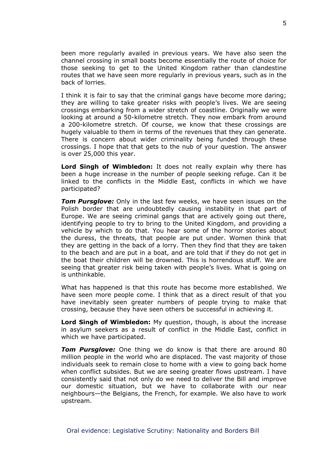been more regularly availed in previous years. We have also seen the channel crossing in small boats become essentially the route of choice for those seeking to get to the United Kingdom rather than clandestine routes that we have seen more regularly in previous years, such as in the back of lorries.

I think it is fair to say that the criminal gangs have become more daring; they are willing to take greater risks with people's lives. We are seeing crossings embarking from a wider stretch of coastline. Originally we were looking at around a 50-kilometre stretch. They now embark from around a 200-kilometre stretch. Of course, we know that these crossings are hugely valuable to them in terms of the revenues that they can generate. There is concern about wider criminality being funded through these crossings. I hope that that gets to the nub of your question. The answer is over 25,000 this year.

**Lord Singh of Wimbledon:** It does not really explain why there has been a huge increase in the number of people seeking refuge. Can it be linked to the conflicts in the Middle East, conflicts in which we have participated?

*Tom Pursglove:* Only in the last few weeks, we have seen issues on the Polish border that are undoubtedly causing instability in that part of Europe. We are seeing criminal gangs that are actively going out there, identifying people to try to bring to the United Kingdom, and providing a vehicle by which to do that. You hear some of the horror stories about the duress, the threats, that people are put under. Women think that they are getting in the back of a lorry. Then they find that they are taken to the beach and are put in a boat, and are told that if they do not get in the boat their children will be drowned. This is horrendous stuff. We are seeing that greater risk being taken with people's lives. What is going on is unthinkable.

What has happened is that this route has become more established. We have seen more people come. I think that as a direct result of that you have inevitably seen greater numbers of people trying to make that crossing, because they have seen others be successful in achieving it.

**Lord Singh of Wimbledon:** My question, though, is about the increase in asylum seekers as a result of conflict in the Middle East, conflict in which we have participated.

*Tom Pursglove:* One thing we do know is that there are around 80 million people in the world who are displaced. The vast majority of those individuals seek to remain close to home with a view to going back home when conflict subsides. But we are seeing greater flows upstream. I have consistently said that not only do we need to deliver the Bill and improve our domestic situation, but we have to collaborate with our near neighbours—the Belgians, the French, for example. We also have to work upstream.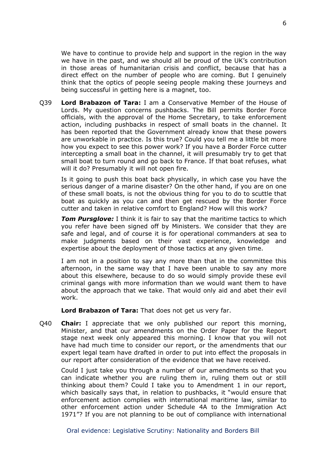We have to continue to provide help and support in the region in the way we have in the past, and we should all be proud of the UK's contribution in those areas of humanitarian crisis and conflict, because that has a direct effect on the number of people who are coming. But I genuinely think that the optics of people seeing people making these journeys and being successful in getting here is a magnet, too.

Q39 **Lord Brabazon of Tara:** I am a Conservative Member of the House of Lords. My question concerns pushbacks. The Bill permits Border Force officials, with the approval of the Home Secretary, to take enforcement action, including pushbacks in respect of small boats in the channel. It has been reported that the Government already know that these powers are unworkable in practice. Is this true? Could you tell me a little bit more how you expect to see this power work? If you have a Border Force cutter intercepting a small boat in the channel, it will presumably try to get that small boat to turn round and go back to France. If that boat refuses, what will it do? Presumably it will not open fire.

Is it going to push this boat back physically, in which case you have the serious danger of a marine disaster? On the other hand, if you are on one of these small boats, is not the obvious thing for you to do to scuttle that boat as quickly as you can and then get rescued by the Border Force cutter and taken in relative comfort to England? How will this work?

*Tom Pursglove:* I think it is fair to say that the maritime tactics to which you refer have been signed off by Ministers. We consider that they are safe and legal, and of course it is for operational commanders at sea to make judgments based on their vast experience, knowledge and expertise about the deployment of those tactics at any given time.

I am not in a position to say any more than that in the committee this afternoon, in the same way that I have been unable to say any more about this elsewhere, because to do so would simply provide these evil criminal gangs with more information than we would want them to have about the approach that we take. That would only aid and abet their evil work.

**Lord Brabazon of Tara:** That does not get us very far.

Q40 **Chair:** I appreciate that we only published our report this morning, Minister, and that our amendments on the Order Paper for the Report stage next week only appeared this morning. I know that you will not have had much time to consider our report, or the amendments that our expert legal team have drafted in order to put into effect the proposals in our report after consideration of the evidence that we have received.

Could I just take you through a number of our amendments so that you can indicate whether you are ruling them in, ruling them out or still thinking about them? Could I take you to Amendment 1 in our report, which basically says that, in relation to pushbacks, it "would ensure that enforcement action complies with international maritime law, similar to other enforcement action under Schedule 4A to the Immigration Act 1971"? If you are not planning to be out of compliance with international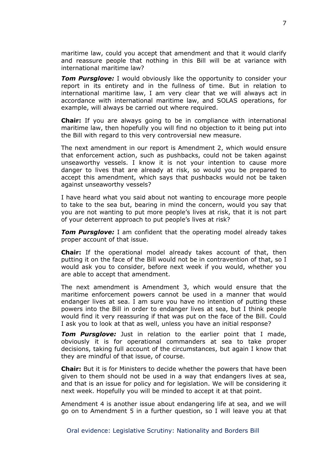maritime law, could you accept that amendment and that it would clarify and reassure people that nothing in this Bill will be at variance with international maritime law?

*Tom Pursglove:* I would obviously like the opportunity to consider your report in its entirety and in the fullness of time. But in relation to international maritime law, I am very clear that we will always act in accordance with international maritime law, and SOLAS operations, for example, will always be carried out where required.

**Chair:** If you are always going to be in compliance with international maritime law, then hopefully you will find no objection to it being put into the Bill with regard to this very controversial new measure.

The next amendment in our report is Amendment 2, which would ensure that enforcement action, such as pushbacks, could not be taken against unseaworthy vessels. I know it is not your intention to cause more danger to lives that are already at risk, so would you be prepared to accept this amendment, which says that pushbacks would not be taken against unseaworthy vessels?

I have heard what you said about not wanting to encourage more people to take to the sea but, bearing in mind the concern, would you say that you are not wanting to put more people's lives at risk, that it is not part of your deterrent approach to put people's lives at risk?

*Tom Pursglove:* I am confident that the operating model already takes proper account of that issue.

**Chair:** If the operational model already takes account of that, then putting it on the face of the Bill would not be in contravention of that, so I would ask you to consider, before next week if you would, whether you are able to accept that amendment.

The next amendment is Amendment 3, which would ensure that the maritime enforcement powers cannot be used in a manner that would endanger lives at sea. I am sure you have no intention of putting these powers into the Bill in order to endanger lives at sea, but I think people would find it very reassuring if that was put on the face of the Bill. Could I ask you to look at that as well, unless you have an initial response?

*Tom Pursglove:* Just in relation to the earlier point that I made, obviously it is for operational commanders at sea to take proper decisions, taking full account of the circumstances, but again I know that they are mindful of that issue, of course.

**Chair:** But it is for Ministers to decide whether the powers that have been given to them should not be used in a way that endangers lives at sea, and that is an issue for policy and for legislation. We will be considering it next week. Hopefully you will be minded to accept it at that point.

Amendment 4 is another issue about endangering life at sea, and we will go on to Amendment 5 in a further question, so I will leave you at that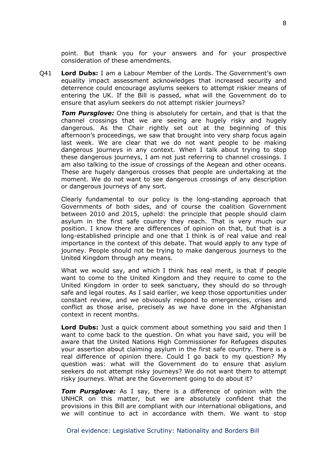point. But thank you for your answers and for your prospective consideration of these amendments.

Q41 **Lord Dubs:** I am a Labour Member of the Lords. The Government's own equality impact assessment acknowledges that increased security and deterrence could encourage asylums seekers to attempt riskier means of entering the UK. If the Bill is passed, what will the Government do to ensure that asylum seekers do not attempt riskier journeys?

*Tom Pursglove:* One thing is absolutely for certain, and that is that the channel crossings that we are seeing are hugely risky and hugely dangerous. As the Chair rightly set out at the beginning of this afternoon's proceedings, we saw that brought into very sharp focus again last week. We are clear that we do not want people to be making dangerous journeys in any context. When I talk about trying to stop these dangerous journeys, I am not just referring to channel crossings. I am also talking to the issue of crossings of the Aegean and other oceans. These are hugely dangerous crosses that people are undertaking at the moment. We do not want to see dangerous crossings of any description or dangerous journeys of any sort.

Clearly fundamental to our policy is the long-standing approach that Governments of both sides, and of course the coalition Government between 2010 and 2015, upheld: the principle that people should claim asylum in the first safe country they reach. That is very much our position. I know there are differences of opinion on that, but that is a long-established principle and one that I think is of real value and real importance in the context of this debate. That would apply to any type of journey. People should not be trying to make dangerous journeys to the United Kingdom through any means.

What we would say, and which I think has real merit, is that if people want to come to the United Kingdom and they require to come to the United Kingdom in order to seek sanctuary, they should do so through safe and legal routes. As I said earlier, we keep those opportunities under constant review, and we obviously respond to emergencies, crises and conflict as those arise, precisely as we have done in the Afghanistan context in recent months.

**Lord Dubs:** Just a quick comment about something you said and then I want to come back to the question. On what you have said, you will be aware that the United Nations High Commissioner for Refugees disputes your assertion about claiming asylum in the first safe country. There is a real difference of opinion there. Could I go back to my question? My question was: what will the Government do to ensure that asylum seekers do not attempt risky journeys? We do not want them to attempt risky journeys. What are the Government going to do about it?

*Tom Pursglove:* As I say, there is a difference of opinion with the UNHCR on this matter, but we are absolutely confident that the provisions in this Bill are compliant with our international obligations, and we will continue to act in accordance with them. We want to stop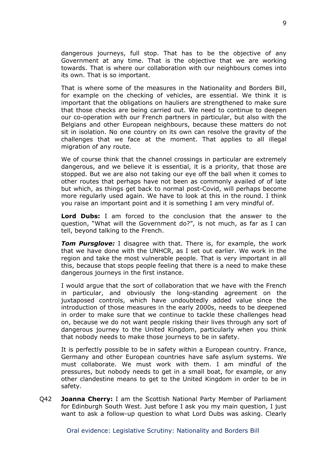dangerous journeys, full stop. That has to be the objective of any Government at any time. That is the objective that we are working towards. That is where our collaboration with our neighbours comes into its own. That is so important.

That is where some of the measures in the Nationality and Borders Bill, for example on the checking of vehicles, are essential. We think it is important that the obligations on hauliers are strengthened to make sure that those checks are being carried out. We need to continue to deepen our co-operation with our French partners in particular, but also with the Belgians and other European neighbours, because these matters do not sit in isolation. No one country on its own can resolve the gravity of the challenges that we face at the moment. That applies to all illegal migration of any route.

We of course think that the channel crossings in particular are extremely dangerous, and we believe it is essential, it is a priority, that those are stopped. But we are also not taking our eye off the ball when it comes to other routes that perhaps have not been as commonly availed of of late but which, as things get back to normal post-Covid, will perhaps become more regularly used again. We have to look at this in the round. I think you raise an important point and it is something I am very mindful of.

**Lord Dubs:** I am forced to the conclusion that the answer to the question, "What will the Government do?", is not much, as far as I can tell, beyond talking to the French.

*Tom Pursglove:* I disagree with that. There is, for example, the work that we have done with the UNHCR, as I set out earlier. We work in the region and take the most vulnerable people. That is very important in all this, because that stops people feeling that there is a need to make these dangerous journeys in the first instance.

I would argue that the sort of collaboration that we have with the French in particular, and obviously the long-standing agreement on the juxtaposed controls, which have undoubtedly added value since the introduction of those measures in the early 2000s, needs to be deepened in order to make sure that we continue to tackle these challenges head on, because we do not want people risking their lives through any sort of dangerous journey to the United Kingdom, particularly when you think that nobody needs to make those journeys to be in safety.

It is perfectly possible to be in safety within a European country. France, Germany and other European countries have safe asylum systems. We must collaborate. We must work with them. I am mindful of the pressures, but nobody needs to get in a small boat, for example, or any other clandestine means to get to the United Kingdom in order to be in safety.

Q42 **Joanna Cherry:** I am the Scottish National Party Member of Parliament for Edinburgh South West. Just before I ask you my main question, I just want to ask a follow-up question to what Lord Dubs was asking. Clearly

Oral evidence: Legislative Scrutiny: Nationality and Borders Bill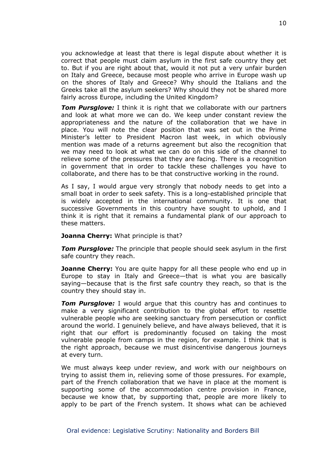you acknowledge at least that there is legal dispute about whether it is correct that people must claim asylum in the first safe country they get to. But if you are right about that, would it not put a very unfair burden on Italy and Greece, because most people who arrive in Europe wash up on the shores of Italy and Greece? Why should the Italians and the Greeks take all the asylum seekers? Why should they not be shared more fairly across Europe, including the United Kingdom?

*Tom Pursglove:* I think it is right that we collaborate with our partners and look at what more we can do. We keep under constant review the appropriateness and the nature of the collaboration that we have in place. You will note the clear position that was set out in the Prime Minister's letter to President Macron last week, in which obviously mention was made of a returns agreement but also the recognition that we may need to look at what we can do on this side of the channel to relieve some of the pressures that they are facing. There is a recognition in government that in order to tackle these challenges you have to collaborate, and there has to be that constructive working in the round.

As I say, I would argue very strongly that nobody needs to get into a small boat in order to seek safety. This is a long-established principle that is widely accepted in the international community. It is one that successive Governments in this country have sought to uphold, and I think it is right that it remains a fundamental plank of our approach to these matters.

#### **Joanna Cherry:** What principle is that?

**Tom Pursglove:** The principle that people should seek asylum in the first safe country they reach.

**Joanne Cherry:** You are quite happy for all these people who end up in Europe to stay in Italy and Greece—that is what you are basically saying—because that is the first safe country they reach, so that is the country they should stay in.

*Tom Pursglove:* I would argue that this country has and continues to make a very significant contribution to the global effort to resettle vulnerable people who are seeking sanctuary from persecution or conflict around the world. I genuinely believe, and have always believed, that it is right that our effort is predominantly focused on taking the most vulnerable people from camps in the region, for example. I think that is the right approach, because we must disincentivise dangerous journeys at every turn.

We must always keep under review, and work with our neighbours on trying to assist them in, relieving some of those pressures. For example, part of the French collaboration that we have in place at the moment is supporting some of the accommodation centre provision in France, because we know that, by supporting that, people are more likely to apply to be part of the French system. It shows what can be achieved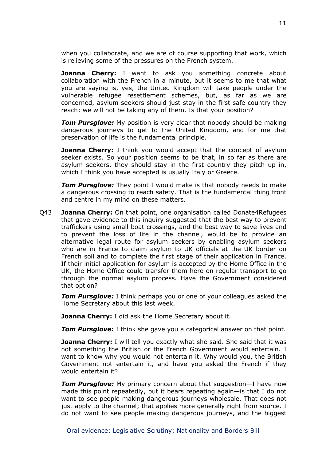when you collaborate, and we are of course supporting that work, which is relieving some of the pressures on the French system.

**Joanna Cherry:** I want to ask you something concrete about collaboration with the French in a minute, but it seems to me that what you are saying is, yes, the United Kingdom will take people under the vulnerable refugee resettlement schemes, but, as far as we are concerned, asylum seekers should just stay in the first safe country they reach; we will not be taking any of them. Is that your position?

*Tom Pursglove:* My position is very clear that nobody should be making dangerous journeys to get to the United Kingdom, and for me that preservation of life is the fundamental principle.

**Joanna Cherry:** I think you would accept that the concept of asylum seeker exists. So your position seems to be that, in so far as there are asylum seekers, they should stay in the first country they pitch up in, which I think you have accepted is usually Italy or Greece.

*Tom Pursglove:* They point I would make is that nobody needs to make a dangerous crossing to reach safety. That is the fundamental thing front and centre in my mind on these matters.

Q43 **Joanna Cherry:** On that point, one organisation called Donate4Refugees that gave evidence to this inquiry suggested that the best way to prevent traffickers using small boat crossings, and the best way to save lives and to prevent the loss of life in the channel, would be to provide an alternative legal route for asylum seekers by enabling asylum seekers who are in France to claim asylum to UK officials at the UK border on French soil and to complete the first stage of their application in France. If their initial application for asylum is accepted by the Home Office in the UK, the Home Office could transfer them here on regular transport to go through the normal asylum process. Have the Government considered that option?

*Tom Pursglove:* I think perhaps you or one of your colleagues asked the Home Secretary about this last week.

**Joanna Cherry:** I did ask the Home Secretary about it.

**Tom Pursglove:** I think she gave you a categorical answer on that point.

**Joanna Cherry:** I will tell you exactly what she said. She said that it was not something the British or the French Government would entertain. I want to know why you would not entertain it. Why would you, the British Government not entertain it, and have you asked the French if they would entertain it?

*Tom Pursglove:* My primary concern about that suggestion—I have now made this point repeatedly, but it bears repeating again—is that I do not want to see people making dangerous journeys wholesale. That does not just apply to the channel; that applies more generally right from source. I do not want to see people making dangerous journeys, and the biggest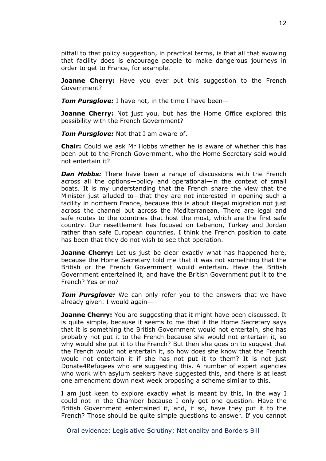pitfall to that policy suggestion, in practical terms, is that all that avowing that facility does is encourage people to make dangerous journeys in order to get to France, for example.

**Joanne Cherry:** Have you ever put this suggestion to the French Government?

*Tom Pursglove:* I have not, in the time I have been—

**Joanne Cherry:** Not just you, but has the Home Office explored this possibility with the French Government?

*Tom Pursglove:* Not that I am aware of.

**Chair:** Could we ask Mr Hobbs whether he is aware of whether this has been put to the French Government, who the Home Secretary said would not entertain it?

*Dan Hobbs:* There have been a range of discussions with the French across all the options—policy and operational—in the context of small boats. It is my understanding that the French share the view that the Minister just alluded to—that they are not interested in opening such a facility in northern France, because this is about illegal migration not just across the channel but across the Mediterranean. There are legal and safe routes to the countries that host the most, which are the first safe country. Our resettlement has focused on Lebanon, Turkey and Jordan rather than safe European countries. I think the French position to date has been that they do not wish to see that operation.

**Joanne Cherry:** Let us just be clear exactly what has happened here, because the Home Secretary told me that it was not something that the British or the French Government would entertain. Have the British Government entertained it, and have the British Government put it to the French? Yes or no?

*Tom Pursglove:* We can only refer you to the answers that we have already given. I would again—

**Joanne Cherry:** You are suggesting that it might have been discussed. It is quite simple, because it seems to me that if the Home Secretary says that it is something the British Government would not entertain, she has probably not put it to the French because she would not entertain it, so why would she put it to the French? But then she goes on to suggest that the French would not entertain it, so how does she know that the French would not entertain it if she has not put it to them? It is not just Donate4Refugees who are suggesting this. A number of expert agencies who work with asylum seekers have suggested this, and there is at least one amendment down next week proposing a scheme similar to this.

I am just keen to explore exactly what is meant by this, in the way I could not in the Chamber because I only got one question. Have the British Government entertained it, and, if so, have they put it to the French? Those should be quite simple questions to answer. If you cannot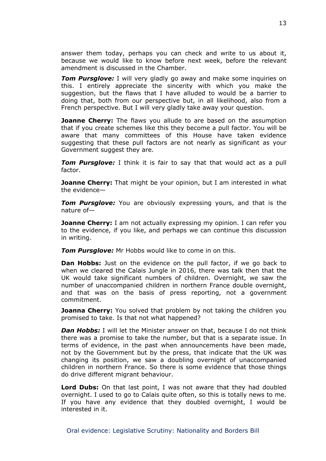answer them today, perhaps you can check and write to us about it, because we would like to know before next week, before the relevant amendment is discussed in the Chamber.

**Tom Pursglove:** I will very gladly go away and make some inquiries on this. I entirely appreciate the sincerity with which you make the suggestion, but the flaws that I have alluded to would be a barrier to doing that, both from our perspective but, in all likelihood, also from a French perspective. But I will very gladly take away your question.

**Joanne Cherry:** The flaws you allude to are based on the assumption that if you create schemes like this they become a pull factor. You will be aware that many committees of this House have taken evidence suggesting that these pull factors are not nearly as significant as your Government suggest they are.

*Tom Pursglove:* I think it is fair to say that that would act as a pull factor.

**Joanne Cherry:** That might be your opinion, but I am interested in what the evidence—

**Tom Pursglove:** You are obviously expressing yours, and that is the nature of—

**Joanne Cherry:** I am not actually expressing my opinion. I can refer you to the evidence, if you like, and perhaps we can continue this discussion in writing.

*Tom Pursglove:* Mr Hobbs would like to come in on this.

**Dan Hobbs:** Just on the evidence on the pull factor, if we go back to when we cleared the Calais Jungle in 2016, there was talk then that the UK would take significant numbers of children. Overnight, we saw the number of unaccompanied children in northern France double overnight, and that was on the basis of press reporting, not a government commitment.

**Joanna Cherry:** You solved that problem by not taking the children you promised to take. Is that not what happened?

*Dan Hobbs:* I will let the Minister answer on that, because I do not think there was a promise to take the number, but that is a separate issue. In terms of evidence, in the past when announcements have been made, not by the Government but by the press, that indicate that the UK was changing its position, we saw a doubling overnight of unaccompanied children in northern France. So there is some evidence that those things do drive different migrant behaviour.

**Lord Dubs:** On that last point, I was not aware that they had doubled overnight. I used to go to Calais quite often, so this is totally news to me. If you have any evidence that they doubled overnight, I would be interested in it.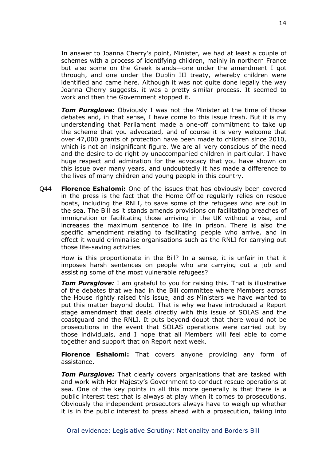In answer to Joanna Cherry's point, Minister, we had at least a couple of schemes with a process of identifying children, mainly in northern France but also some on the Greek islands—one under the amendment I got through, and one under the Dublin III treaty, whereby children were identified and came here. Although it was not quite done legally the way Joanna Cherry suggests, it was a pretty similar process. It seemed to work and then the Government stopped it.

*Tom Pursglove:* Obviously I was not the Minister at the time of those debates and, in that sense, I have come to this issue fresh. But it is my understanding that Parliament made a one-off commitment to take up the scheme that you advocated, and of course it is very welcome that over 47,000 grants of protection have been made to children since 2010, which is not an insignificant figure. We are all very conscious of the need and the desire to do right by unaccompanied children in particular. I have huge respect and admiration for the advocacy that you have shown on this issue over many years, and undoubtedly it has made a difference to the lives of many children and young people in this country.

Q44 **Florence Eshalomi:** One of the issues that has obviously been covered in the press is the fact that the Home Office regularly relies on rescue boats, including the RNLI, to save some of the refugees who are out in the sea. The Bill as it stands amends provisions on facilitating breaches of immigration or facilitating those arriving in the UK without a visa, and increases the maximum sentence to life in prison. There is also the specific amendment relating to facilitating people who arrive, and in effect it would criminalise organisations such as the RNLI for carrying out those life-saving activities.

How is this proportionate in the Bill? In a sense, it is unfair in that it imposes harsh sentences on people who are carrying out a job and assisting some of the most vulnerable refugees?

**Tom Pursglove:** I am grateful to you for raising this. That is illustrative of the debates that we had in the Bill committee where Members across the House rightly raised this issue, and as Ministers we have wanted to put this matter beyond doubt. That is why we have introduced a Report stage amendment that deals directly with this issue of SOLAS and the coastguard and the RNLI. It puts beyond doubt that there would not be prosecutions in the event that SOLAS operations were carried out by those individuals, and I hope that all Members will feel able to come together and support that on Report next week.

**Florence Eshalomi:** That covers anyone providing any form of assistance.

*Tom Pursglove:* That clearly covers organisations that are tasked with and work with Her Majesty's Government to conduct rescue operations at sea. One of the key points in all this more generally is that there is a public interest test that is always at play when it comes to prosecutions. Obviously the independent prosecutors always have to weigh up whether it is in the public interest to press ahead with a prosecution, taking into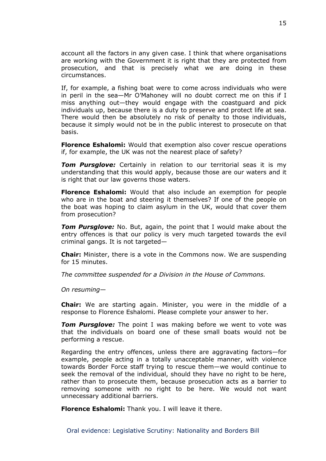account all the factors in any given case. I think that where organisations are working with the Government it is right that they are protected from prosecution, and that is precisely what we are doing in these circumstances.

If, for example, a fishing boat were to come across individuals who were in peril in the sea—Mr O'Mahoney will no doubt correct me on this if I miss anything out—they would engage with the coastguard and pick individuals up, because there is a duty to preserve and protect life at sea. There would then be absolutely no risk of penalty to those individuals, because it simply would not be in the public interest to prosecute on that basis.

**Florence Eshalomi:** Would that exemption also cover rescue operations if, for example, the UK was not the nearest place of safety?

*Tom Pursglove:* Certainly in relation to our territorial seas it is my understanding that this would apply, because those are our waters and it is right that our law governs those waters.

**Florence Eshalomi:** Would that also include an exemption for people who are in the boat and steering it themselves? If one of the people on the boat was hoping to claim asylum in the UK, would that cover them from prosecution?

*Tom Pursglove:* No. But, again, the point that I would make about the entry offences is that our policy is very much targeted towards the evil criminal gangs. It is not targeted—

**Chair:** Minister, there is a vote in the Commons now. We are suspending for 15 minutes.

*The committee suspended for a Division in the House of Commons.*

*On resuming*—

**Chair:** We are starting again. Minister, you were in the middle of a response to Florence Eshalomi. Please complete your answer to her.

*Tom Pursglove:* The point I was making before we went to vote was that the individuals on board one of these small boats would not be performing a rescue.

Regarding the entry offences, unless there are aggravating factors—for example, people acting in a totally unacceptable manner, with violence towards Border Force staff trying to rescue them—we would continue to seek the removal of the individual, should they have no right to be here, rather than to prosecute them, because prosecution acts as a barrier to removing someone with no right to be here. We would not want unnecessary additional barriers.

**Florence Eshalomi:** Thank you. I will leave it there.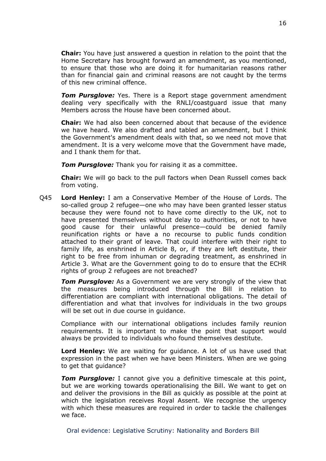**Chair:** You have just answered a question in relation to the point that the Home Secretary has brought forward an amendment, as you mentioned, to ensure that those who are doing it for humanitarian reasons rather than for financial gain and criminal reasons are not caught by the terms of this new criminal offence.

**Tom Pursglove:** Yes. There is a Report stage government amendment dealing very specifically with the RNLI/coastguard issue that many Members across the House have been concerned about.

**Chair:** We had also been concerned about that because of the evidence we have heard. We also drafted and tabled an amendment, but I think the Government's amendment deals with that, so we need not move that amendment. It is a very welcome move that the Government have made, and I thank them for that.

*Tom Pursglove:* Thank you for raising it as a committee.

**Chair:** We will go back to the pull factors when Dean Russell comes back from voting.

Q45 **Lord Henley:** I am a Conservative Member of the House of Lords. The so-called group 2 refugee—one who may have been granted lesser status because they were found not to have come directly to the UK, not to have presented themselves without delay to authorities, or not to have good cause for their unlawful presence—could be denied family reunification rights or have a no recourse to public funds condition attached to their grant of leave. That could interfere with their right to family life, as enshrined in Article 8, or, if they are left destitute, their right to be free from inhuman or degrading treatment, as enshrined in Article 3. What are the Government going to do to ensure that the ECHR rights of group 2 refugees are not breached?

*Tom Pursglove:* As a Government we are very strongly of the view that the measures being introduced through the Bill in relation to differentiation are compliant with international obligations. The detail of differentiation and what that involves for individuals in the two groups will be set out in due course in guidance.

Compliance with our international obligations includes family reunion requirements. It is important to make the point that support would always be provided to individuals who found themselves destitute.

**Lord Henley:** We are waiting for guidance. A lot of us have used that expression in the past when we have been Ministers. When are we going to get that guidance?

*Tom Pursglove:* I cannot give you a definitive timescale at this point, but we are working towards operationalising the Bill. We want to get on and deliver the provisions in the Bill as quickly as possible at the point at which the legislation receives Royal Assent. We recognise the urgency with which these measures are required in order to tackle the challenges we face.

Oral evidence: Legislative Scrutiny: Nationality and Borders Bill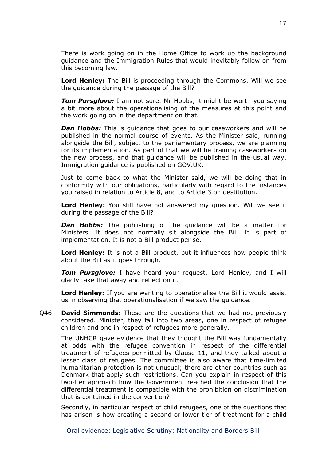There is work going on in the Home Office to work up the background guidance and the Immigration Rules that would inevitably follow on from this becoming law.

**Lord Henley:** The Bill is proceeding through the Commons. Will we see the guidance during the passage of the Bill?

*Tom Pursglove:* I am not sure. Mr Hobbs, it might be worth you saying a bit more about the operationalising of the measures at this point and the work going on in the department on that.

*Dan Hobbs:* This is guidance that goes to our caseworkers and will be published in the normal course of events. As the Minister said, running alongside the Bill, subject to the parliamentary process, we are planning for its implementation. As part of that we will be training caseworkers on the new process, and that guidance will be published in the usual way. Immigration guidance is published on GOV.UK.

Just to come back to what the Minister said, we will be doing that in conformity with our obligations, particularly with regard to the instances you raised in relation to Article 8, and to Article 3 on destitution.

**Lord Henley:** You still have not answered my question. Will we see it during the passage of the Bill?

*Dan Hobbs:* The publishing of the guidance will be a matter for Ministers. It does not normally sit alongside the Bill. It is part of implementation. It is not a Bill product per se.

**Lord Henley:** It is not a Bill product, but it influences how people think about the Bill as it goes through.

*Tom Pursglove:* I have heard your request, Lord Henley, and I will gladly take that away and reflect on it.

**Lord Henley:** If you are wanting to operationalise the Bill it would assist us in observing that operationalisation if we saw the guidance.

Q46 **David Simmonds:** These are the questions that we had not previously considered. Minister, they fall into two areas, one in respect of refugee children and one in respect of refugees more generally.

The UNHCR gave evidence that they thought the Bill was fundamentally at odds with the refugee convention in respect of the differential treatment of refugees permitted by Clause 11, and they talked about a lesser class of refugees. The committee is also aware that time-limited humanitarian protection is not unusual; there are other countries such as Denmark that apply such restrictions. Can you explain in respect of this two-tier approach how the Government reached the conclusion that the differential treatment is compatible with the prohibition on discrimination that is contained in the convention?

Secondly, in particular respect of child refugees, one of the questions that has arisen is how creating a second or lower tier of treatment for a child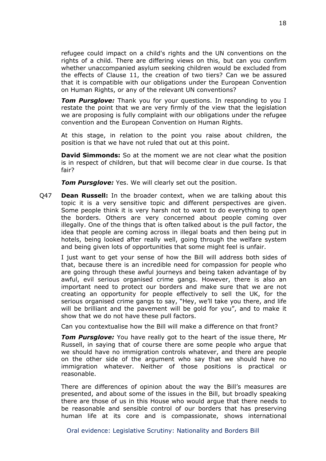refugee could impact on a child's rights and the UN conventions on the rights of a child. There are differing views on this, but can you confirm whether unaccompanied asylum seeking children would be excluded from the effects of Clause 11, the creation of two tiers? Can we be assured that it is compatible with our obligations under the European Convention on Human Rights, or any of the relevant UN conventions?

*Tom Pursglove:* Thank you for your questions. In responding to you I restate the point that we are very firmly of the view that the legislation we are proposing is fully complaint with our obligations under the refugee convention and the European Convention on Human Rights.

At this stage, in relation to the point you raise about children, the position is that we have not ruled that out at this point.

**David Simmonds:** So at the moment we are not clear what the position is in respect of children, but that will become clear in due course. Is that fair?

*Tom Pursglove:* Yes. We will clearly set out the position.

Q47 **Dean Russell:** In the broader context, when we are talking about this topic it is a very sensitive topic and different perspectives are given. Some people think it is very harsh not to want to do everything to open the borders. Others are very concerned about people coming over illegally. One of the things that is often talked about is the pull factor, the idea that people are coming across in illegal boats and then being put in hotels, being looked after really well, going through the welfare system and being given lots of opportunities that some might feel is unfair.

I just want to get your sense of how the Bill will address both sides of that, because there is an incredible need for compassion for people who are going through these awful journeys and being taken advantage of by awful, evil serious organised crime gangs. However, there is also an important need to protect our borders and make sure that we are not creating an opportunity for people effectively to sell the UK, for the serious organised crime gangs to say, "Hey, we'll take you there, and life will be brilliant and the pavement will be gold for you", and to make it show that we do not have these pull factors.

Can you contextualise how the Bill will make a difference on that front?

*Tom Pursglove:* You have really got to the heart of the issue there, Mr Russell, in saying that of course there are some people who argue that we should have no immigration controls whatever, and there are people on the other side of the argument who say that we should have no immigration whatever. Neither of those positions is practical or reasonable.

There are differences of opinion about the way the Bill's measures are presented, and about some of the issues in the Bill, but broadly speaking there are those of us in this House who would argue that there needs to be reasonable and sensible control of our borders that has preserving human life at its core and is compassionate, shows international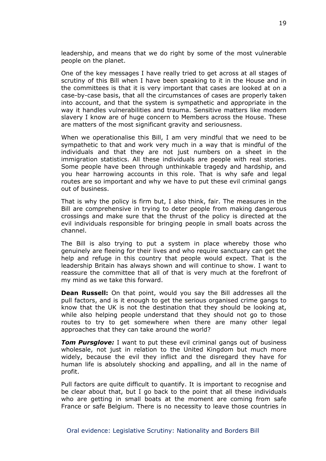leadership, and means that we do right by some of the most vulnerable people on the planet.

One of the key messages I have really tried to get across at all stages of scrutiny of this Bill when I have been speaking to it in the House and in the committees is that it is very important that cases are looked at on a case-by-case basis, that all the circumstances of cases are properly taken into account, and that the system is sympathetic and appropriate in the way it handles vulnerabilities and trauma. Sensitive matters like modern slavery I know are of huge concern to Members across the House. These are matters of the most significant gravity and seriousness.

When we operationalise this Bill, I am very mindful that we need to be sympathetic to that and work very much in a way that is mindful of the individuals and that they are not just numbers on a sheet in the immigration statistics. All these individuals are people with real stories. Some people have been through unthinkable tragedy and hardship, and you hear harrowing accounts in this role. That is why safe and legal routes are so important and why we have to put these evil criminal gangs out of business.

That is why the policy is firm but, I also think, fair. The measures in the Bill are comprehensive in trying to deter people from making dangerous crossings and make sure that the thrust of the policy is directed at the evil individuals responsible for bringing people in small boats across the channel.

The Bill is also trying to put a system in place whereby those who genuinely are fleeing for their lives and who require sanctuary can get the help and refuge in this country that people would expect. That is the leadership Britain has always shown and will continue to show. I want to reassure the committee that all of that is very much at the forefront of my mind as we take this forward.

**Dean Russell:** On that point, would you say the Bill addresses all the pull factors, and is it enough to get the serious organised crime gangs to know that the UK is not the destination that they should be looking at, while also helping people understand that they should not go to those routes to try to get somewhere when there are many other legal approaches that they can take around the world?

*Tom Pursglove:* I want to put these evil criminal gangs out of business wholesale, not just in relation to the United Kingdom but much more widely, because the evil they inflict and the disregard they have for human life is absolutely shocking and appalling, and all in the name of profit.

Pull factors are quite difficult to quantify. It is important to recognise and be clear about that, but I go back to the point that all these individuals who are getting in small boats at the moment are coming from safe France or safe Belgium. There is no necessity to leave those countries in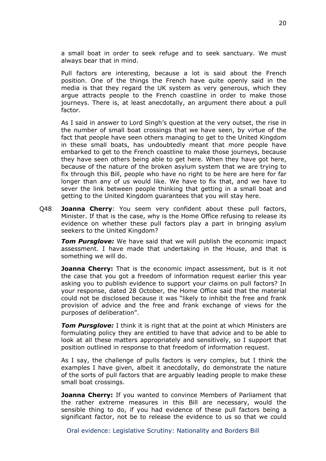a small boat in order to seek refuge and to seek sanctuary. We must always bear that in mind.

Pull factors are interesting, because a lot is said about the French position. One of the things the French have quite openly said in the media is that they regard the UK system as very generous, which they argue attracts people to the French coastline in order to make those journeys. There is, at least anecdotally, an argument there about a pull factor.

As I said in answer to Lord Singh's question at the very outset, the rise in the number of small boat crossings that we have seen, by virtue of the fact that people have seen others managing to get to the United Kingdom in these small boats, has undoubtedly meant that more people have embarked to get to the French coastline to make those journeys, because they have seen others being able to get here. When they have got here, because of the nature of the broken asylum system that we are trying to fix through this Bill, people who have no right to be here are here for far longer than any of us would like. We have to fix that, and we have to sever the link between people thinking that getting in a small boat and getting to the United Kingdom guarantees that you will stay here.

Q48 **Joanna Cherry**: You seem very confident about these pull factors, Minister. If that is the case, why is the Home Office refusing to release its evidence on whether these pull factors play a part in bringing asylum seekers to the United Kingdom?

*Tom Pursglove:* We have said that we will publish the economic impact assessment. I have made that undertaking in the House, and that is something we will do.

**Joanna Cherry:** That is the economic impact assessment, but is it not the case that you got a freedom of information request earlier this year asking you to publish evidence to support your claims on pull factors? In your response, dated 28 October, the Home Office said that the material could not be disclosed because it was "likely to inhibit the free and frank provision of advice and the free and frank exchange of views for the purposes of deliberation".

*Tom Pursglove:* I think it is right that at the point at which Ministers are formulating policy they are entitled to have that advice and to be able to look at all these matters appropriately and sensitively, so I support that position outlined in response to that freedom of information request.

As I say, the challenge of pulls factors is very complex, but I think the examples I have given, albeit it anecdotally, do demonstrate the nature of the sorts of pull factors that are arguably leading people to make these small boat crossings.

**Joanna Cherry:** If you wanted to convince Members of Parliament that the rather extreme measures in this Bill are necessary, would the sensible thing to do, if you had evidence of these pull factors being a significant factor, not be to release the evidence to us so that we could

Oral evidence: Legislative Scrutiny: Nationality and Borders Bill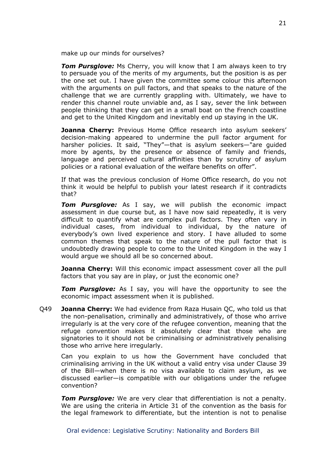make up our minds for ourselves?

**Tom Pursglove:** Ms Cherry, you will know that I am always keen to try to persuade you of the merits of my arguments, but the position is as per the one set out. I have given the committee some colour this afternoon with the arguments on pull factors, and that speaks to the nature of the challenge that we are currently grappling with. Ultimately, we have to render this channel route unviable and, as I say, sever the link between people thinking that they can get in a small boat on the French coastline and get to the United Kingdom and inevitably end up staying in the UK.

**Joanna Cherry:** Previous Home Office research into asylum seekers' decision-making appeared to undermine the pull factor argument for harsher policies. It said, "They"—that is asylum seekers—"are guided more by agents, by the presence or absence of family and friends, language and perceived cultural affinities than by scrutiny of asylum policies or a rational evaluation of the welfare benefits on offer".

If that was the previous conclusion of Home Office research, do you not think it would be helpful to publish your latest research if it contradicts that?

*Tom Pursglove:* As I say, we will publish the economic impact assessment in due course but, as I have now said repeatedly, it is very difficult to quantify what are complex pull factors. They often vary in individual cases, from individual to individual, by the nature of everybody's own lived experience and story. I have alluded to some common themes that speak to the nature of the pull factor that is undoubtedly drawing people to come to the United Kingdom in the way I would argue we should all be so concerned about.

**Joanna Cherry:** Will this economic impact assessment cover all the pull factors that you say are in play, or just the economic one?

**Tom Pursglove:** As I say, you will have the opportunity to see the economic impact assessment when it is published.

Q49 **Joanna Cherry:** We had evidence from Raza Husain QC, who told us that the non-penalisation, criminally and administratively, of those who arrive irregularly is at the very core of the refugee convention, meaning that the refuge convention makes it absolutely clear that those who are signatories to it should not be criminalising or administratively penalising those who arrive here irregularly.

Can you explain to us how the Government have concluded that criminalising arriving in the UK without a valid entry visa under Clause 39 of the Bill—when there is no visa available to claim asylum, as we discussed earlier—is compatible with our obligations under the refugee convention?

*Tom Pursglove:* We are very clear that differentiation is not a penalty. We are using the criteria in Article 31 of the convention as the basis for the legal framework to differentiate, but the intention is not to penalise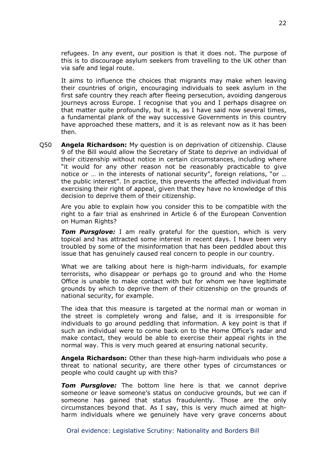refugees. In any event, our position is that it does not. The purpose of this is to discourage asylum seekers from travelling to the UK other than via safe and legal route.

It aims to influence the choices that migrants may make when leaving their countries of origin, encouraging individuals to seek asylum in the first safe country they reach after fleeing persecution, avoiding dangerous journeys across Europe. I recognise that you and I perhaps disagree on that matter quite profoundly, but it is, as I have said now several times, a fundamental plank of the way successive Governments in this country have approached these matters, and it is as relevant now as it has been then.

Q50 **Angela Richardson:** My question is on deprivation of citizenship. Clause 9 of the Bill would allow the Secretary of State to deprive an individual of their citizenship without notice in certain circumstances, including where "it would for any other reason not be reasonably practicable to give notice or … in the interests of national security", foreign relations, "or … the public interest". In practice, this prevents the affected individual from exercising their right of appeal, given that they have no knowledge of this decision to deprive them of their citizenship.

Are you able to explain how you consider this to be compatible with the right to a fair trial as enshrined in Article 6 of the European Convention on Human Rights?

*Tom Pursglove:* I am really grateful for the question, which is very topical and has attracted some interest in recent days. I have been very troubled by some of the misinformation that has been peddled about this issue that has genuinely caused real concern to people in our country.

What we are talking about here is high-harm individuals, for example terrorists, who disappear or perhaps go to ground and who the Home Office is unable to make contact with but for whom we have legitimate grounds by which to deprive them of their citizenship on the grounds of national security, for example.

The idea that this measure is targeted at the normal man or woman in the street is completely wrong and false, and it is irresponsible for individuals to go around peddling that information. A key point is that if such an individual were to come back on to the Home Office's radar and make contact, they would be able to exercise their appeal rights in the normal way. This is very much geared at ensuring national security.

**Angela Richardson:** Other than these high-harm individuals who pose a threat to national security, are there other types of circumstances or people who could caught up with this?

*Tom Pursglove:* The bottom line here is that we cannot deprive someone or leave someone's status on conducive grounds, but we can if someone has gained that status fraudulently. Those are the only circumstances beyond that. As I say, this is very much aimed at highharm individuals where we genuinely have very grave concerns about

Oral evidence: Legislative Scrutiny: Nationality and Borders Bill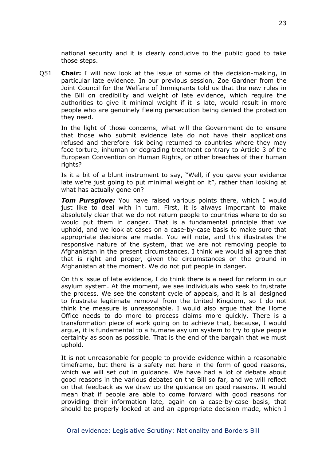national security and it is clearly conducive to the public good to take those steps.

Q51 **Chair:** I will now look at the issue of some of the decision-making, in particular late evidence. In our previous session, Zoe Gardner from the Joint Council for the Welfare of Immigrants told us that the new rules in the Bill on credibility and weight of late evidence, which require the authorities to give it minimal weight if it is late, would result in more people who are genuinely fleeing persecution being denied the protection they need.

In the light of those concerns, what will the Government do to ensure that those who submit evidence late do not have their applications refused and therefore risk being returned to countries where they may face torture, inhuman or degrading treatment contrary to Article 3 of the European Convention on Human Rights, or other breaches of their human rights?

Is it a bit of a blunt instrument to say, "Well, if you gave your evidence late we're just going to put minimal weight on it", rather than looking at what has actually gone on?

**Tom Pursglove:** You have raised various points there, which I would just like to deal with in turn. First, it is always important to make absolutely clear that we do not return people to countries where to do so would put them in danger. That is a fundamental principle that we uphold, and we look at cases on a case-by-case basis to make sure that appropriate decisions are made. You will note, and this illustrates the responsive nature of the system, that we are not removing people to Afghanistan in the present circumstances. I think we would all agree that that is right and proper, given the circumstances on the ground in Afghanistan at the moment. We do not put people in danger.

On this issue of late evidence, I do think there is a need for reform in our asylum system. At the moment, we see individuals who seek to frustrate the process. We see the constant cycle of appeals, and it is all designed to frustrate legitimate removal from the United Kingdom, so I do not think the measure is unreasonable. I would also argue that the Home Office needs to do more to process claims more quickly. There is a transformation piece of work going on to achieve that, because, I would argue, it is fundamental to a humane asylum system to try to give people certainty as soon as possible. That is the end of the bargain that we must uphold.

It is not unreasonable for people to provide evidence within a reasonable timeframe, but there is a safety net here in the form of good reasons, which we will set out in guidance. We have had a lot of debate about good reasons in the various debates on the Bill so far, and we will reflect on that feedback as we draw up the guidance on good reasons. It would mean that if people are able to come forward with good reasons for providing their information late, again on a case-by-case basis, that should be properly looked at and an appropriate decision made, which I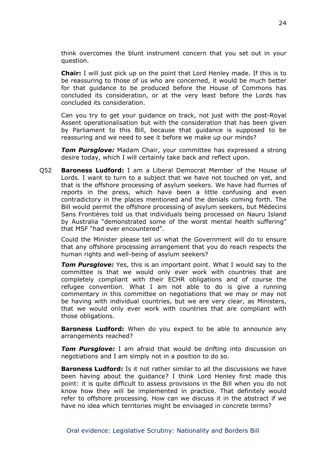think overcomes the blunt instrument concern that you set out in your question.

**Chair:** I will just pick up on the point that Lord Henley made. If this is to be reassuring to those of us who are concerned, it would be much better for that guidance to be produced before the House of Commons has concluded its consideration, or at the very least before the Lords has concluded its consideration.

Can you try to get your guidance on track, not just with the post-Royal Assent operationalisation but with the consideration that has been given by Parliament to this Bill, because that guidance is supposed to be reassuring and we need to see it before we make up our minds?

*Tom Pursglove:* Madam Chair, your committee has expressed a strong desire today, which I will certainly take back and reflect upon.

Q52 **Baroness Ludford:** I am a Liberal Democrat Member of the House of Lords. I want to turn to a subject that we have not touched on yet, and that is the offshore processing of asylum seekers. We have had flurries of reports in the press, which have been a little confusing and even contradictory in the places mentioned and the denials coming forth. The Bill would permit the offshore processing of asylum seekers, but Médecins Sans Frontières told us that individuals being processed on Nauru Island by Australia "demonstrated some of the worst mental health suffering" that MSF "had ever encountered".

Could the Minister please tell us what the Government will do to ensure that any offshore processing arrangement that you do reach respects the human rights and well-being of asylum seekers?

**Tom Pursglove:** Yes, this is an important point. What I would say to the committee is that we would only ever work with countries that are completely compliant with their ECHR obligations and of course the refugee convention. What I am not able to do is give a running commentary in this committee on negotiations that we may or may not be having with individual countries, but we are very clear, as Ministers, that we would only ever work with countries that are compliant with those obligations.

**Baroness Ludford:** When do you expect to be able to announce any arrangements reached?

*Tom Pursglove:* I am afraid that would be drifting into discussion on negotiations and I am simply not in a position to do so.

**Baroness Ludford:** Is it not rather similar to all the discussions we have been having about the guidance? I think Lord Henley first made this point: it is quite difficult to assess provisions in the Bill when you do not know how they will be implemented in practice. That definitely would refer to offshore processing. How can we discuss it in the abstract if we have no idea which territories might be envisaged in concrete terms?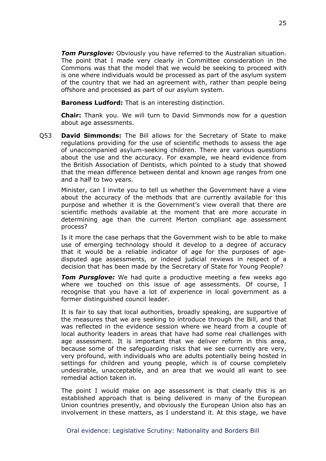*Tom Pursglove:* Obviously you have referred to the Australian situation. The point that I made very clearly in Committee consideration in the Commons was that the model that we would be seeking to proceed with is one where individuals would be processed as part of the asylum system of the country that we had an agreement with, rather than people being offshore and processed as part of our asylum system.

**Baroness Ludford:** That is an interesting distinction.

**Chair:** Thank you. We will turn to David Simmonds now for a question about age assessments.

Q53 **David Simmonds:** The Bill allows for the Secretary of State to make regulations providing for the use of scientific methods to assess the age of unaccompanied asylum-seeking children. There are various questions about the use and the accuracy. For example, we heard evidence from the British Association of Dentists, which pointed to a study that showed that the mean difference between dental and known age ranges from one and a half to two years.

Minister, can I invite you to tell us whether the Government have a view about the accuracy of the methods that are currently available for this purpose and whether it is the Government's view overall that there are scientific methods available at the moment that are more accurate in determining age than the current Merton compliant age assessment process?

Is it more the case perhaps that the Government wish to be able to make use of emerging technology should it develop to a degree of accuracy that it would be a reliable indicator of age for the purposes of agedisputed age assessments, or indeed judicial reviews in respect of a decision that has been made by the Secretary of State for Young People?

**Tom Pursglove:** We had quite a productive meeting a few weeks ago where we touched on this issue of age assessments. Of course, I recognise that you have a lot of experience in local government as a former distinguished council leader.

It is fair to say that local authorities, broadly speaking, are supportive of the measures that we are seeking to introduce through the Bill, and that was reflected in the evidence session where we heard from a couple of local authority leaders in areas that have had some real challenges with age assessment. It is important that we deliver reform in this area, because some of the safeguarding risks that we see currently are very, very profound, with individuals who are adults potentially being hosted in settings for children and young people, which is of course completely undesirable, unacceptable, and an area that we would all want to see remedial action taken in.

The point I would make on age assessment is that clearly this is an established approach that is being delivered in many of the European Union countries presently, and obviously the European Union also has an involvement in these matters, as I understand it. At this stage, we have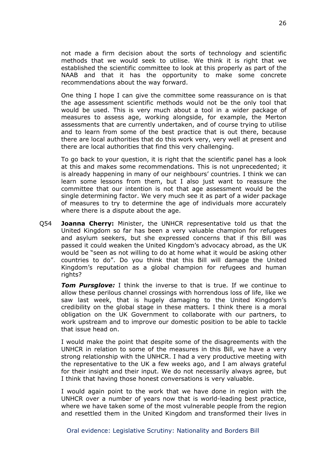not made a firm decision about the sorts of technology and scientific methods that we would seek to utilise. We think it is right that we established the scientific committee to look at this properly as part of the NAAB and that it has the opportunity to make some concrete recommendations about the way forward.

One thing I hope I can give the committee some reassurance on is that the age assessment scientific methods would not be the only tool that would be used. This is very much about a tool in a wider package of measures to assess age, working alongside, for example, the Merton assessments that are currently undertaken, and of course trying to utilise and to learn from some of the best practice that is out there, because there are local authorities that do this work very, very well at present and there are local authorities that find this very challenging.

To go back to your question, it is right that the scientific panel has a look at this and makes some recommendations. This is not unprecedented; it is already happening in many of our neighbours' countries. I think we can learn some lessons from them, but I also just want to reassure the committee that our intention is not that age assessment would be the single determining factor. We very much see it as part of a wider package of measures to try to determine the age of individuals more accurately where there is a dispute about the age.

Q54 **Joanna Cherry:** Minister, the UNHCR representative told us that the United Kingdom so far has been a very valuable champion for refugees and asylum seekers, but she expressed concerns that if this Bill was passed it could weaken the United Kingdom's advocacy abroad, as the UK would be "seen as not willing to do at home what it would be asking other countries to do". Do you think that this Bill will damage the United Kingdom's reputation as a global champion for refugees and human rights?

*Tom Pursglove:* I think the inverse to that is true. If we continue to allow these perilous channel crossings with horrendous loss of life, like we saw last week, that is hugely damaging to the United Kingdom's credibility on the global stage in these matters. I think there is a moral obligation on the UK Government to collaborate with our partners, to work upstream and to improve our domestic position to be able to tackle that issue head on.

I would make the point that despite some of the disagreements with the UNHCR in relation to some of the measures in this Bill, we have a very strong relationship with the UNHCR. I had a very productive meeting with the representative to the UK a few weeks ago, and I am always grateful for their insight and their input. We do not necessarily always agree, but I think that having those honest conversations is very valuable.

I would again point to the work that we have done in region with the UNHCR over a number of years now that is world-leading best practice, where we have taken some of the most vulnerable people from the region and resettled them in the United Kingdom and transformed their lives in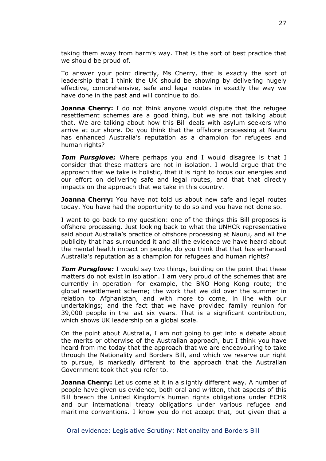taking them away from harm's way. That is the sort of best practice that we should be proud of.

To answer your point directly, Ms Cherry, that is exactly the sort of leadership that I think the UK should be showing by delivering hugely effective, comprehensive, safe and legal routes in exactly the way we have done in the past and will continue to do.

**Joanna Cherry:** I do not think anyone would dispute that the refugee resettlement schemes are a good thing, but we are not talking about that. We are talking about how this Bill deals with asylum seekers who arrive at our shore. Do you think that the offshore processing at Nauru has enhanced Australia's reputation as a champion for refugees and human rights?

**Tom Pursglove:** Where perhaps you and I would disagree is that I consider that these matters are not in isolation. I would argue that the approach that we take is holistic, that it is right to focus our energies and our effort on delivering safe and legal routes, and that that directly impacts on the approach that we take in this country.

**Joanna Cherry:** You have not told us about new safe and legal routes today. You have had the opportunity to do so and you have not done so.

I want to go back to my question: one of the things this Bill proposes is offshore processing. Just looking back to what the UNHCR representative said about Australia's practice of offshore processing at Nauru, and all the publicity that has surrounded it and all the evidence we have heard about the mental health impact on people, do you think that that has enhanced Australia's reputation as a champion for refugees and human rights?

**Tom Pursglove:** I would say two things, building on the point that these matters do not exist in isolation. I am very proud of the schemes that are currently in operation—for example, the BNO Hong Kong route; the global resettlement scheme; the work that we did over the summer in relation to Afghanistan, and with more to come, in line with our undertakings; and the fact that we have provided family reunion for 39,000 people in the last six years. That is a significant contribution, which shows UK leadership on a global scale.

On the point about Australia, I am not going to get into a debate about the merits or otherwise of the Australian approach, but I think you have heard from me today that the approach that we are endeavouring to take through the Nationality and Borders Bill, and which we reserve our right to pursue, is markedly different to the approach that the Australian Government took that you refer to.

**Joanna Cherry:** Let us come at it in a slightly different way. A number of people have given us evidence, both oral and written, that aspects of this Bill breach the United Kingdom's human rights obligations under ECHR and our international treaty obligations under various refugee and maritime conventions. I know you do not accept that, but given that a